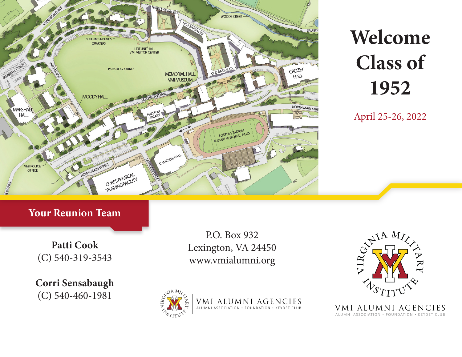

# **Welcome Class of 1952**

April 25-26, 2022

### **Your Reunion Team**

**Patti Cook** (C) 540-319-3543

**Corri Sensabaugh** (C) 540-460-1981

P.O. Box 932 Lexington, VA 24450 www.vmialumni.org



VMI ALUMNI AGENCIES ALUMNI ASSOCIATION · FOUNDATION · KEYDET CLUB

VMI ALUMNI AGENCIES ALUMNI ASSOCIATION · FOUNDATION · KEYDET CLUB